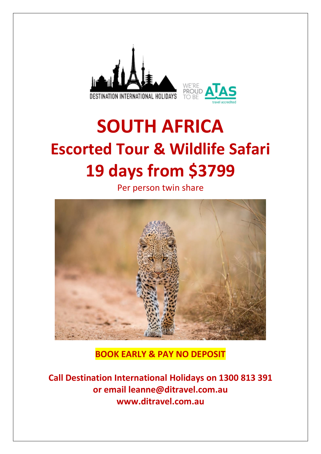

# **SOUTH AFRICA Escorted Tour & Wildlife Safari 19 days from \$3799**

Per person twin share



**BOOK EARLY & PAY NO DEPOSIT**

**Call Destination International Holidays on 1300 813 391 or email leanne@ditravel.com.au www.ditravel.com.au**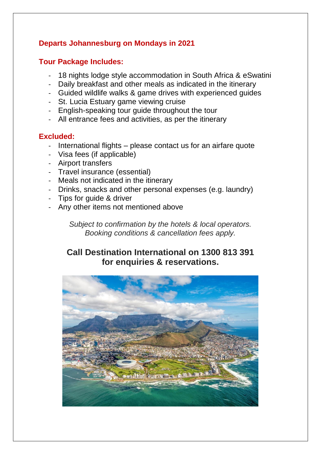# **Departs Johannesburg on Mondays in 2021**

# **Tour Package Includes:**

- 18 nights lodge style accommodation in South Africa & eSwatini
- Daily breakfast and other meals as indicated in the itinerary
- Guided wildlife walks & game drives with experienced guides
- St. Lucia Estuary game viewing cruise
- English-speaking tour guide throughout the tour
- All entrance fees and activities, as per the itinerary

# **Excluded:**

- International flights please contact us for an airfare quote
- Visa fees (if applicable)
- Airport transfers
- Travel insurance (essential)
- Meals not indicated in the itinerary
- Drinks, snacks and other personal expenses (e.g. laundry)
- Tips for guide & driver
- Any other items not mentioned above

*Subject to confirmation by the hotels & local operators. Booking conditions & cancellation fees apply.*

# **Call Destination International on 1300 813 391 for enquiries & reservations.**

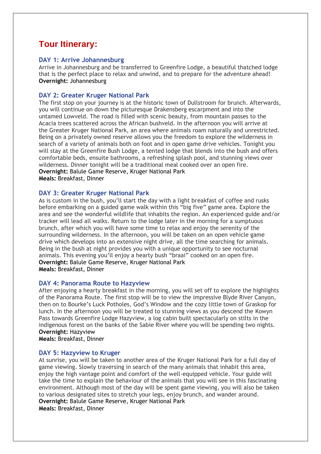# **Tour Itinerary:**

#### **DAY 1: Arrive Johannesburg**

Arrive in Johannesburg and be transferred to Greenfire Lodge, a beautiful thatched lodge that is the perfect place to relax and unwind, and to prepare for the adventure ahead! **Overnight:** Johannesburg

#### **DAY 2: Greater Kruger National Park**

The first stop on your journey is at the historic town of Dullstroom for brunch. Afterwards, you will continue on down the picturesque Drakensberg escarpment and into the untamed Lowveld. The road is filled with scenic beauty, from mountain passes to the Acacia trees scattered across the African bushveld. In the afternoon you will arrive at the Greater Kruger National Park, an area where animals roam naturally and unrestricted. Being on a privately owned reserve allows you the freedom to explore the wilderness in search of a variety of animals both on foot and in open game drive vehicles. Tonight you will stay at the Greenfire Bush Lodge, a tented lodge that blends into the bush and offers comfortable beds, ensuite bathrooms, a refreshing splash pool, and stunning views over wilderness. Dinner tonight will be a traditional meal cooked over an open fire. **Overnight:** Balule Game Reserve, Kruger National Park **Meals:** Breakfast, Dinner

#### **DAY 3: Greater Kruger National Park**

As is custom in the bush, you'll start the day with a light breakfast of coffee and rusks before embarking on a guided game walk within this "big five" game area. Explore the area and see the wonderful wildlife that inhabits the region. An experienced guide and/or tracker will lead all walks. Return to the lodge later in the morning for a sumptuous brunch, after which you will have some time to relax and enjoy the serenity of the surrounding wilderness. In the afternoon, you will be taken on an open vehicle game drive which develops into an extensive night drive, all the time searching for animals. Being in the bush at night provides you with a unique opportunity to see nocturnal animals. This evening you'll enjoy a hearty bush "braai" cooked on an open fire. **Overnight:** Balule Game Reserve, Kruger National Park **Meals:** Breakfast, Dinner

#### **DAY 4: Panorama Route to Hazyview**

After enjoying a hearty breakfast in the morning, you will set off to explore the highlights of the Panorama Route. The first stop will be to view the impressive Blyde River Canyon, then on to Bourke's Luck Potholes, God's Window and the cozy little town of Graskop for lunch. In the afternoon you will be treated to stunning views as you descend the Kowyn Pass towards Greenfire Lodge Hazyview, a log cabin built spectacularly on stilts in the indigenous forest on the banks of the Sabie River where you will be spending two nights. **Overnight:** Hazyview

**Meals:** Breakfast, Dinner

#### **DAY 5: Hazyview to Kruger**

At sunrise, you will be taken to another area of the Kruger National Park for a full day of game viewing. Slowly traversing in search of the many animals that inhabit this area, enjoy the high vantage point and comfort of the well-equipped vehicle. Your guide will take the time to explain the behaviour of the animals that you will see in this fascinating environment. Although most of the day will be spent game viewing, you will also be taken to various designated sites to stretch your legs, enjoy brunch, and wander around. **Overnight:** Balule Game Reserve, Kruger National Park **Meals:** Breakfast, Dinner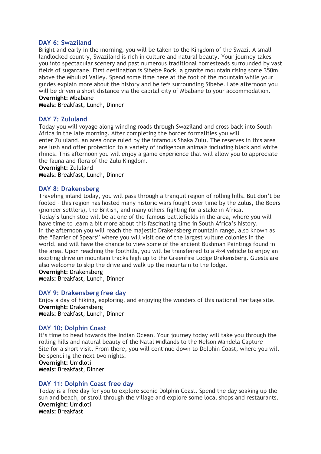#### **DAY 6: Swaziland**

Bright and early in the morning, you will be taken to the Kingdom of the Swazi. A small landlocked country, Swaziland is rich in culture and natural beauty. Your journey takes you into spectacular scenery and past numerous traditional homesteads surrounded by vast fields of sugarcane. First destination is Sibebe Rock, a granite mountain rising some 350m above the Mbuluzi Valley. Spend some time here at the foot of the mountain while your guides explain more about the history and beliefs surrounding Sibebe. Late afternoon you will be driven a short distance via the capital city of Mbabane to your accommodation. **Overnight:** Mbabane

**Meals:** Breakfast, Lunch, Dinner

#### **DAY 7: Zululand**

Today you will voyage along winding roads through Swaziland and cross back into South Africa in the late morning. After completing the border formalities you will enter Zululand, an area once ruled by the infamous Shaka Zulu. The reserves in this area are lush and offer protection to a variety of indigenous animals including black and white rhinos. This afternoon you will enjoy a game experience that will allow you to appreciate the fauna and flora of the Zulu Kingdom.

#### **Overnight:** Zululand

**Meals:** Breakfast, Lunch, Dinner

#### **DAY 8: Drakensberg**

Traveling inland today, you will pass through a tranquil region of rolling hills. But don't be fooled – this region has hosted many historic wars fought over time by the Zulus, the Boers (pioneer settlers), the British, and many others fighting for a stake in Africa. Today's lunch stop will be at one of the famous battlefields in the area, where you will have time to learn a bit more about this fascinating time in South Africa's history. In the afternoon you will reach the majestic Drakensberg mountain range, also known as the "Barrier of Spears" where you will visit one of the largest vulture colonies in the world, and will have the chance to view some of the ancient Bushman Paintings found in the area. Upon reaching the foothills, you will be transferred to a 4×4 vehicle to enjoy an exciting drive on mountain tracks high up to the Greenfire Lodge Drakensberg. Guests are also welcome to skip the drive and walk up the mountain to the lodge.

#### **Overnight:** Drakensberg

**Meals:** Breakfast, Lunch, Dinner

#### **DAY 9: Drakensberg free day**

Enjoy a day of hiking, exploring, and enjoying the wonders of this national heritage site. **Overnight:** Drakensberg **Meals:** Breakfast, Lunch, Dinner

#### **DAY 10: Dolphin Coast**

It's time to head towards the Indian Ocean. Your journey today will take you through the rolling hills and natural beauty of the Natal Midlands to the Nelson Mandela Capture Site for a short visit. From there, you will continue down to Dolphin Coast, where you will be spending the next two nights.

**Overnight:** Umdloti **Meals:** Breakfast, Dinner

**DAY 11: Dolphin Coast free day**

Today is a free day for you to explore scenic Dolphin Coast. Spend the day soaking up the sun and beach, or stroll through the village and explore some local shops and restaurants. **Overnight:** Umdloti **Meals:** Breakfast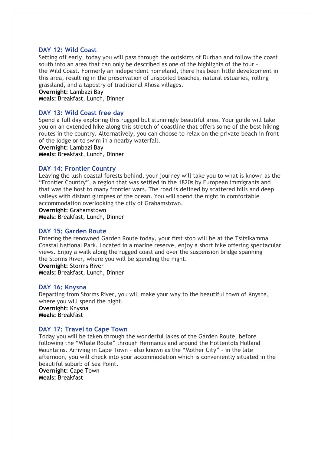#### **DAY 12: Wild Coast**

Setting off early, today you will pass through the outskirts of Durban and follow the coast south into an area that can only be described as one of the highlights of the tour – the Wild Coast. Formerly an independent homeland, there has been little development in this area, resulting in the preservation of unspoiled beaches, natural estuaries, rolling grassland, and a tapestry of traditional Xhosa villages.

#### **Overnight:** Lambazi Bay

**Meals:** Breakfast, Lunch, Dinner

#### **DAY 13: Wild Coast free day**

Spend a full day exploring this rugged but stunningly beautiful area. Your guide will take you on an extended hike along this stretch of coastline that offers some of the best hiking routes in the country. Alternatively, you can choose to relax on the private beach in front of the lodge or to swim in a nearby waterfall.

#### **Overnight:** Lambazi Bay

**Meals:** Breakfast, Lunch, Dinner

#### **DAY 14: Frontier Country**

Leaving the lush coastal forests behind, your journey will take you to what is known as the "Frontier Country", a region that was settled in the 1820s by European immigrants and that was the host to many frontier wars. The road is defined by scattered hills and deep valleys with distant glimpses of the ocean. You will spend the night in comfortable accommodation overlooking the city of Grahamstown.

**Overnight:** Grahamstown

**Meals:** Breakfast, Lunch, Dinner

#### **DAY 15: Garden Route**

Entering the renowned Garden Route today, your first stop will be at the Tsitsikamma Coastal National Park. Located in a marine reserve, enjoy a short hike offering spectacular views. Enjoy a walk along the rugged coast and over the suspension bridge spanning the Storms River, where you will be spending the night.

**Overnight:** Storms River **Meals:** Breakfast, Lunch, Dinner

#### **DAY 16: Knysna**

Departing from Storms River, you will make your way to the beautiful town of Knysna, where you will spend the night. **Overnight:** Knysna **Meals:** Breakfast

#### **DAY 17: Travel to Cape Town**

Today you will be taken through the wonderful lakes of the Garden Route, before following the "Whale Route" through Hermanus and around the Hottentots Holland Mountains. Arriving in Cape Town – also known as the "Mother City" – in the late afternoon, you will check into your accommodation which is conveniently situated in the beautiful suburb of Sea Point.

**Overnight:** Cape Town **Meals:** Breakfast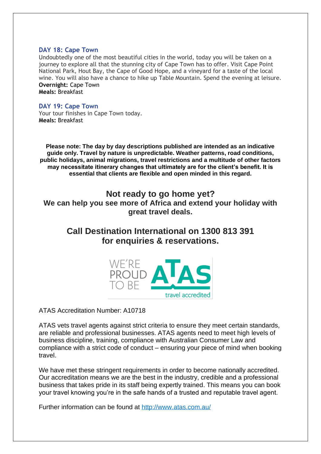#### **DAY 18: Cape Town**

Undoubtedly one of the most beautiful cities in the world, today you will be taken on a journey to explore all that the stunning city of Cape Town has to offer. Visit Cape Point National Park, Hout Bay, the Cape of Good Hope, and a vineyard for a taste of the local wine. You will also have a chance to hike up Table Mountain. Spend the evening at leisure. **Overnight:** Cape Town **Meals:** Breakfast

#### **DAY 19: Cape Town**

Your tour finishes in Cape Town today. **Meals:** Breakfast

**Please note: The day by day descriptions published are intended as an indicative guide only. Travel by nature is unpredictable. Weather patterns, road conditions, public holidays, animal migrations, travel restrictions and a multitude of other factors may necessitate itinerary changes that ultimately are for the client's benefit. It is essential that clients are flexible and open minded in this regard.**

## **Not ready to go home yet?**

**We can help you see more of Africa and extend your holiday with great travel deals.**

# **Call Destination International on 1300 813 391 for enquiries & reservations.**



ATAS Accreditation Number: A10718

ATAS vets travel agents against strict criteria to ensure they meet certain standards, are reliable and professional businesses. ATAS agents need to meet high levels of business discipline, training, compliance with Australian Consumer Law and compliance with a strict code of conduct – ensuring your piece of mind when booking travel.

We have met these stringent requirements in order to become nationally accredited. Our accreditation means we are the best in the industry, credible and a professional business that takes pride in its staff being expertly trained. This means you can book your travel knowing you're in the safe hands of a trusted and reputable travel agent.

Further information can be found at<http://www.atas.com.au/>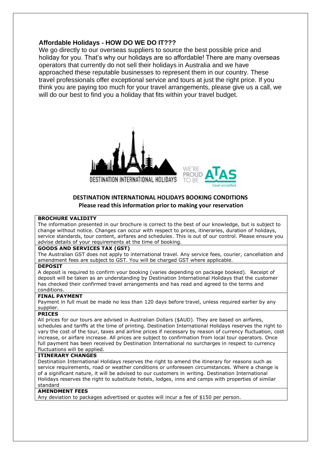### **Affordable Holidays - HOW DO WE DO IT???**

We go directly to our overseas suppliers to source the best possible price and holiday for you. That's why our holidays are so affordable! There are many overseas operators that currently do not sell their holidays in Australia and we have approached these reputable businesses to represent them in our country. These travel professionals offer exceptional service and tours at just the right price. If you think you are paying too much for your travel arrangements, please give us a call, we will do our best to find you a holiday that fits within your travel budget.





#### **DESTINATION INTERNATIONAL HOLIDAYS BOOKING CONDITIONS Please read this information prior to making your reservation**

#### **BROCHURE VALIDITY**

The information presented in our brochure is correct to the best of our knowledge, but is subject to change without notice. Changes can occur with respect to prices, itineraries, duration of holidays, service standards, tour content, airfares and schedules. This is out of our control. Please ensure you advise details of your requirements at the time of booking.

#### **GOODS AND SERVICES TAX (GST)**

The Australian GST does not apply to international travel. Any service fees, courier, cancellation and amendment fees are subject to GST. You will be charged GST where applicable.

#### **DEPOSIT**

A deposit is required to confirm your booking (varies depending on package booked). Receipt of deposit will be taken as an understanding by Destination International Holidays that the customer has checked their confirmed travel arrangements and has read and agreed to the terms and conditions.

#### **FINAL PAYMENT**

Payment in full must be made no less than 120 days before travel, unless required earlier by any supplier.

#### **PRICES**

All prices for our tours are advised in Australian Dollars (\$AUD). They are based on airfares, schedules and tariffs at the time of printing. Destination International Holidays reserves the right to vary the cost of the tour, taxes and airline prices if necessary by reason of currency fluctuation, cost increase, or airfare increase. All prices are subject to confirmation from local tour operators. Once full payment has been received by Destination International no surcharges in respect to currency fluctuations will be applied.

#### **ITINERARY CHANGES**

Destination International Holidays reserves the right to amend the itinerary for reasons such as service requirements, road or weather conditions or unforeseen circumstances. Where a change is of a significant nature, it will be advised to our customers in writing. Destination International Holidays reserves the right to substitute hotels, lodges, inns and camps with properties of similar standard

#### **AMENDMENT FEES**

Any deviation to packages advertised or quotes will incur a fee of \$150 per person.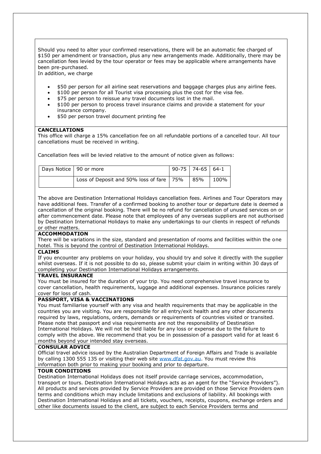Should you need to alter your confirmed reservations, there will be an automatic fee charged of \$150 per amendment or transaction, plus any new arrangements made. Additionally, there may be cancellation fees levied by the tour operator or fees may be applicable where arrangements have been pre-purchased.

In addition, we charge

- \$50 per person for all airline seat reservations and baggage charges plus any airline fees.
- \$100 per person for all Tourist visa processing plus the cost for the visa fee.
- \$75 per person to reissue any travel documents lost in the mail.
- \$100 per person to process travel insurance claims and provide a statement for your insurance company.
- \$50 per person travel document printing fee

#### **CANCELLATIONS**

This office will charge a 15% cancellation fee on all refundable portions of a cancelled tour. All tour cancellations must be received in writing.

Cancellation fees will be levied relative to the amount of notice given as follows:

| Days Notice   90 or more |                                            | $90-75$   74-65   64-1 |      |
|--------------------------|--------------------------------------------|------------------------|------|
|                          | Loss of Deposit and 50% loss of fare   75% | 85%                    | 100% |

The above are Destination International Holidays cancellation fees. Airlines and Tour Operators may have additional fees. Transfer of a confirmed booking to another tour or departure date is deemed a cancellation of the original booking. There will be no refund for cancellation of unused services on or after commencement date. Please note that employees of any overseas suppliers are not authorised by Destination International Holidays to make any undertakings to our clients in respect of refunds or other matters.

#### **ACCOMMODATION**

There will be variations in the size, standard and presentation of rooms and facilities within the one hotel. This is beyond the control of Destination International Holidays.

#### **CLAIMS**

If you encounter any problems on your holiday, you should try and solve it directly with the supplier whilst overseas. If it is not possible to do so, please submit your claim in writing within 30 days of completing your Destination International Holidays arrangements.

#### **TRAVEL INSURANCE**

You must be insured for the duration of your trip. You need comprehensive travel insurance to cover cancellation, health requirements, luggage and additional expenses. Insurance policies rarely cover for loss of cash.

#### **PASSPORT, VISA & VACCINATIONS**

You must familiarise yourself with any visa and health requirements that may be applicable in the countries you are visiting. You are responsible for all entry/exit health and any other documents required by laws, regulations, orders, demands or requirements of countries visited or transited. Please note that passport and visa requirements are not the responsibility of Destination International Holidays. We will not be held liable for any loss or expense due to the failure to comply with the above. We recommend that you be in possession of a passport valid for at least 6 months beyond your intended stay overseas.

#### **CONSULAR ADVICE**

Official travel advice issued by the Australian Department of Foreign Affairs and Trade is available by calling 1300 555 135 or visiting their web site [www.dfat.gov.au.](http://www.dfat.gov.au/) You must review this information both prior to making your booking and prior to departure.

#### **TOUR CONDITIONS**

Destination International Holidays does not itself provide carriage services, accommodation, transport or tours. Destination International Holidays acts as an agent for the "Service Providers"). All products and services provided by Service Providers are provided on those Service Providers own terms and conditions which may include limitations and exclusions of liability. All bookings with Destination International Holidays and all tickets, vouchers, receipts, coupons, exchange orders and other like documents issued to the client, are subject to each Service Providers terms and